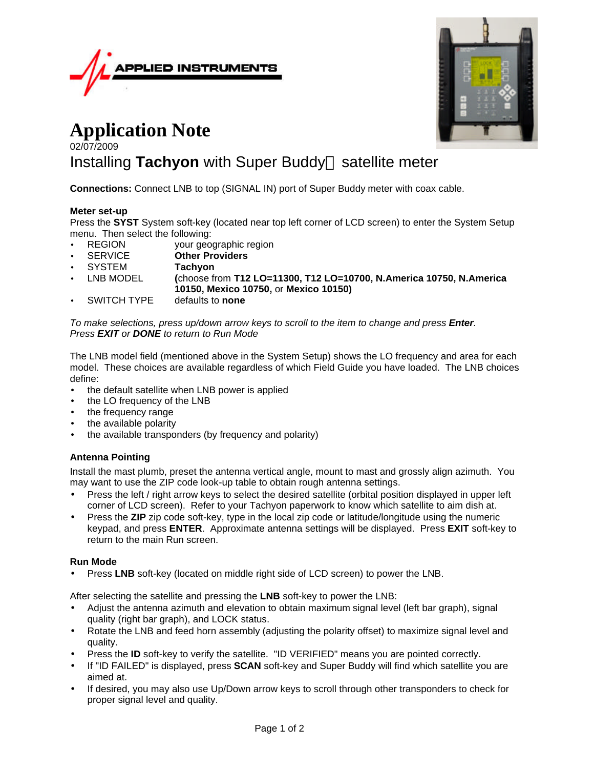



# **Application Note**

## 02/07/2009 Installing Tachyon with Super Buddy<sup>™</sup> satellite meter

**Connections:** Connect LNB to top (SIGNAL IN) port of Super Buddy meter with coax cable.

#### **Meter set-up**

Press the **SYST** System soft-key (located near top left corner of LCD screen) to enter the System Setup menu. Then select the following:

- **REGION** your geographic region<br> **SERVICE Other Providers**
- **Other Providers**
- SYSTEM **Tachyon**
- LNB MODEL **(**choose from **T12 LO=11300, T12 LO=10700, N.America 10750, N.America 10150, Mexico 10750,** or **Mexico 10150)**
- SWITCH TYPE defaults to **none**

*To make selections, press up/down arrow keys to scroll to the item to change and press Enter. Press EXIT or DONE to return to Run Mode*

The LNB model field (mentioned above in the System Setup) shows the LO frequency and area for each model. These choices are available regardless of which Field Guide you have loaded. The LNB choices define:

- the default satellite when LNB power is applied
- the LO frequency of the LNB
- the frequency range
- the available polarity
- the available transponders (by frequency and polarity)

### **Antenna Pointing**

Install the mast plumb, preset the antenna vertical angle, mount to mast and grossly align azimuth. You may want to use the ZIP code look-up table to obtain rough antenna settings.

- Press the left / right arrow keys to select the desired satellite (orbital position displayed in upper left corner of LCD screen). Refer to your Tachyon paperwork to know which satellite to aim dish at.
- Press the **ZIP** zip code soft-key, type in the local zip code or latitude/longitude using the numeric keypad, and press **ENTER**. Approximate antenna settings will be displayed. Press **EXIT** soft-key to return to the main Run screen.

#### **Run Mode**

• Press **LNB** soft-key (located on middle right side of LCD screen) to power the LNB.

After selecting the satellite and pressing the **LNB** soft-key to power the LNB:

- Adjust the antenna azimuth and elevation to obtain maximum signal level (left bar graph), signal quality (right bar graph), and LOCK status.
- Rotate the LNB and feed horn assembly (adjusting the polarity offset) to maximize signal level and quality.
- Press the **ID** soft-key to verify the satellite. "ID VERIFIED" means you are pointed correctly.
- If "ID FAILED" is displayed, press **SCAN** soft-key and Super Buddy will find which satellite you are aimed at.
- If desired, you may also use Up/Down arrow keys to scroll through other transponders to check for proper signal level and quality.